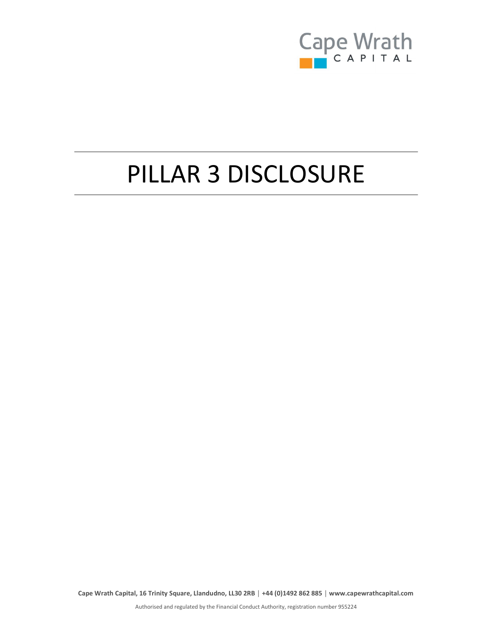

# PILLAR 3 DISCLOSURE

Cape Wrath Capital, 16 Trinity Square, Llandudno, LL30 2RB │ +44 (0)1492 862 885 │ www.capewrathcapital.com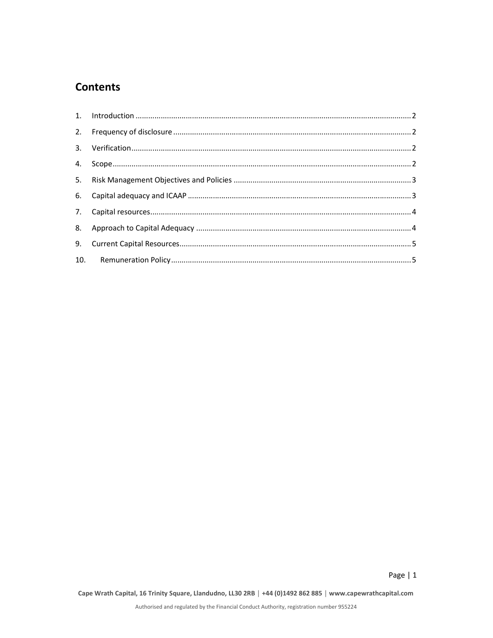# **Contents**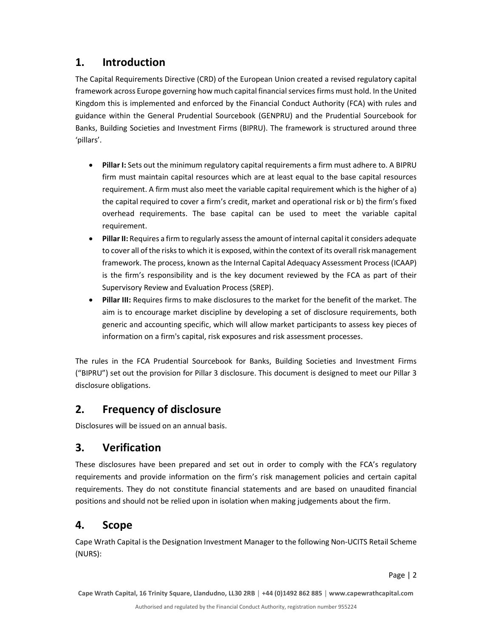#### 1. Introduction

The Capital Requirements Directive (CRD) of the European Union created a revised regulatory capital framework across Europe governing how much capital financial services firms must hold. In the United Kingdom this is implemented and enforced by the Financial Conduct Authority (FCA) with rules and guidance within the General Prudential Sourcebook (GENPRU) and the Prudential Sourcebook for Banks, Building Societies and Investment Firms (BIPRU). The framework is structured around three 'pillars'.

- Pillar I: Sets out the minimum regulatory capital requirements a firm must adhere to. A BIPRU firm must maintain capital resources which are at least equal to the base capital resources requirement. A firm must also meet the variable capital requirement which is the higher of a) the capital required to cover a firm's credit, market and operational risk or b) the firm's fixed overhead requirements. The base capital can be used to meet the variable capital requirement.
- Pillar II: Requires a firm to regularly assess the amount of internal capital it considers adequate to cover all of the risks to which it is exposed, within the context of its overall risk management framework. The process, known as the Internal Capital Adequacy Assessment Process (ICAAP) is the firm's responsibility and is the key document reviewed by the FCA as part of their Supervisory Review and Evaluation Process (SREP).
- Pillar III: Requires firms to make disclosures to the market for the benefit of the market. The aim is to encourage market discipline by developing a set of disclosure requirements, both generic and accounting specific, which will allow market participants to assess key pieces of information on a firm's capital, risk exposures and risk assessment processes.

The rules in the FCA Prudential Sourcebook for Banks, Building Societies and Investment Firms ("BIPRU") set out the provision for Pillar 3 disclosure. This document is designed to meet our Pillar 3 disclosure obligations.

# 2. Frequency of disclosure

Disclosures will be issued on an annual basis.

# 3. Verification

These disclosures have been prepared and set out in order to comply with the FCA's regulatory requirements and provide information on the firm's risk management policies and certain capital requirements. They do not constitute financial statements and are based on unaudited financial positions and should not be relied upon in isolation when making judgements about the firm.

# 4. Scope

Cape Wrath Capital is the Designation Investment Manager to the following Non-UCITS Retail Scheme (NURS):

Cape Wrath Capital, 16 Trinity Square, Llandudno, LL30 2RB │ +44 (0)1492 862 885 │ www.capewrathcapital.com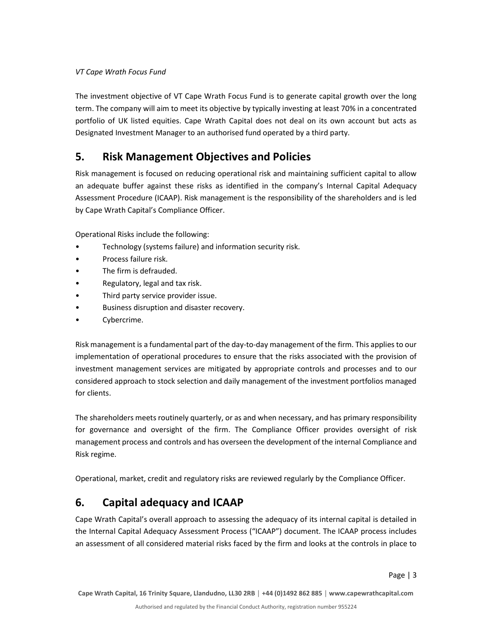#### VT Cape Wrath Focus Fund

The investment objective of VT Cape Wrath Focus Fund is to generate capital growth over the long term. The company will aim to meet its objective by typically investing at least 70% in a concentrated portfolio of UK listed equities. Cape Wrath Capital does not deal on its own account but acts as Designated Investment Manager to an authorised fund operated by a third party.

#### 5. Risk Management Objectives and Policies

Risk management is focused on reducing operational risk and maintaining sufficient capital to allow an adequate buffer against these risks as identified in the company's Internal Capital Adequacy Assessment Procedure (ICAAP). Risk management is the responsibility of the shareholders and is led by Cape Wrath Capital's Compliance Officer.

Operational Risks include the following:

- Technology (systems failure) and information security risk.
- Process failure risk.
- The firm is defrauded.
- Regulatory, legal and tax risk.
- Third party service provider issue.
- Business disruption and disaster recovery.
- Cybercrime.

Risk management is a fundamental part of the day-to-day management of the firm. This applies to our implementation of operational procedures to ensure that the risks associated with the provision of investment management services are mitigated by appropriate controls and processes and to our considered approach to stock selection and daily management of the investment portfolios managed for clients.

The shareholders meets routinely quarterly, or as and when necessary, and has primary responsibility for governance and oversight of the firm. The Compliance Officer provides oversight of risk management process and controls and has overseen the development of the internal Compliance and Risk regime.

Operational, market, credit and regulatory risks are reviewed regularly by the Compliance Officer.

#### 6. Capital adequacy and ICAAP

Cape Wrath Capital's overall approach to assessing the adequacy of its internal capital is detailed in the Internal Capital Adequacy Assessment Process ("ICAAP") document. The ICAAP process includes an assessment of all considered material risks faced by the firm and looks at the controls in place to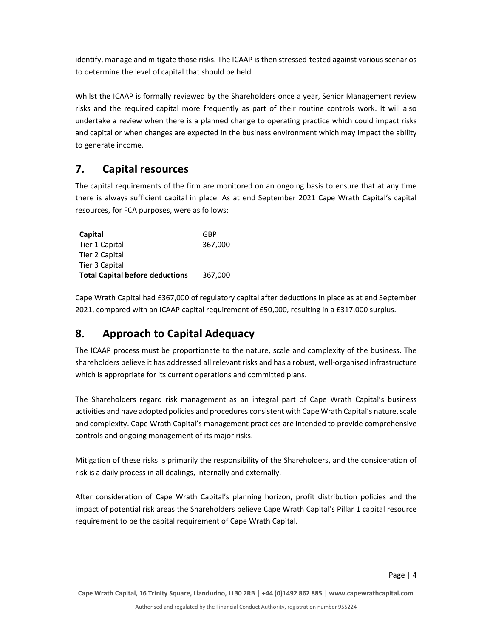identify, manage and mitigate those risks. The ICAAP is then stressed-tested against various scenarios to determine the level of capital that should be held.

Whilst the ICAAP is formally reviewed by the Shareholders once a year, Senior Management review risks and the required capital more frequently as part of their routine controls work. It will also undertake a review when there is a planned change to operating practice which could impact risks and capital or when changes are expected in the business environment which may impact the ability to generate income.

# 7. Capital resources

The capital requirements of the firm are monitored on an ongoing basis to ensure that at any time there is always sufficient capital in place. As at end September 2021 Cape Wrath Capital's capital resources, for FCA purposes, were as follows:

| Capital                                | GBP     |
|----------------------------------------|---------|
| Tier 1 Capital                         | 367,000 |
| Tier 2 Capital                         |         |
| Tier 3 Capital                         |         |
| <b>Total Capital before deductions</b> | 367,000 |

Cape Wrath Capital had £367,000 of regulatory capital after deductions in place as at end September 2021, compared with an ICAAP capital requirement of £50,000, resulting in a £317,000 surplus.

# 8. Approach to Capital Adequacy

The ICAAP process must be proportionate to the nature, scale and complexity of the business. The shareholders believe it has addressed all relevant risks and has a robust, well-organised infrastructure which is appropriate for its current operations and committed plans.

The Shareholders regard risk management as an integral part of Cape Wrath Capital's business activities and have adopted policies and procedures consistent with Cape Wrath Capital's nature, scale and complexity. Cape Wrath Capital's management practices are intended to provide comprehensive controls and ongoing management of its major risks.

Mitigation of these risks is primarily the responsibility of the Shareholders, and the consideration of risk is a daily process in all dealings, internally and externally.

After consideration of Cape Wrath Capital's planning horizon, profit distribution policies and the impact of potential risk areas the Shareholders believe Cape Wrath Capital's Pillar 1 capital resource requirement to be the capital requirement of Cape Wrath Capital.